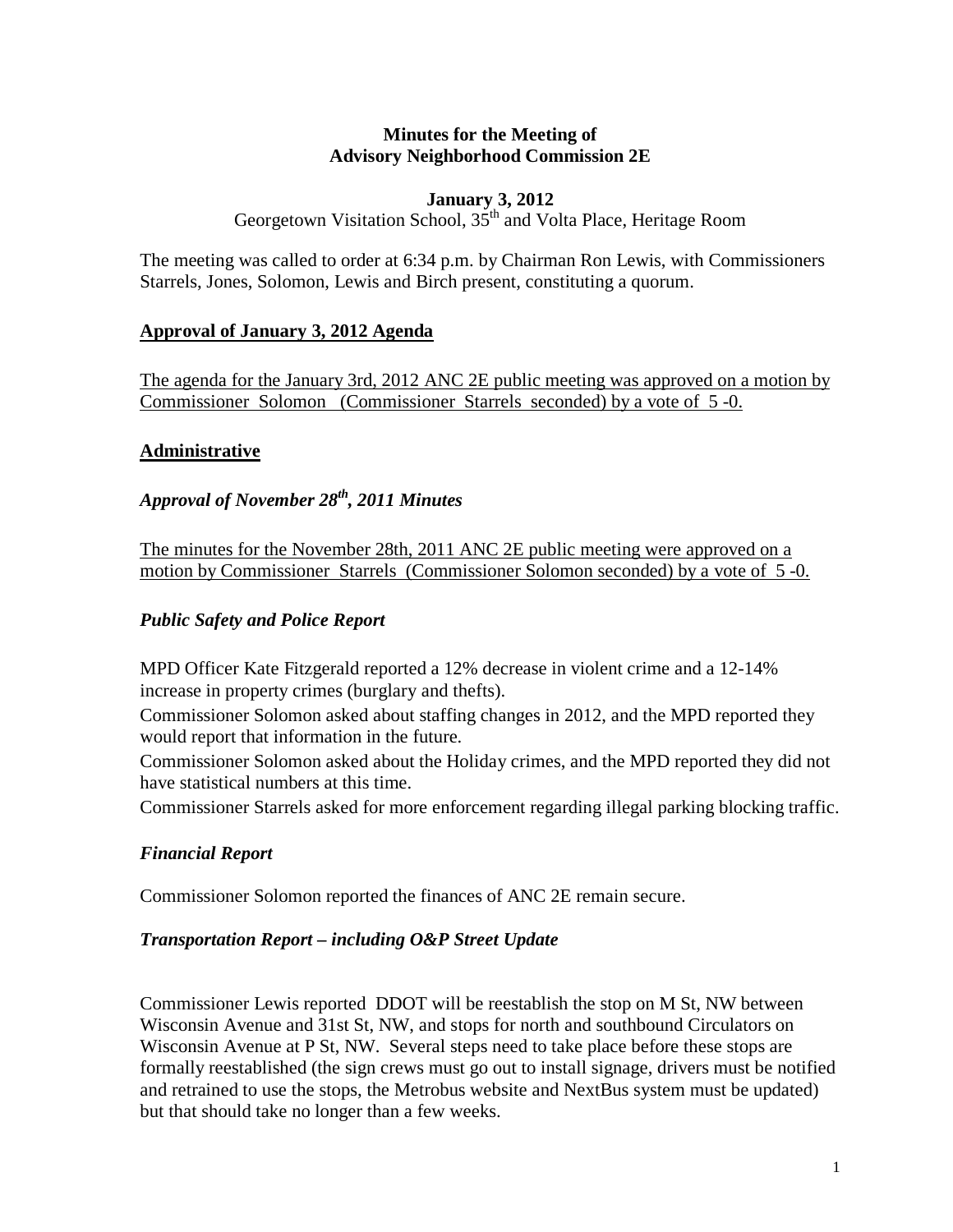#### **Minutes for the Meeting of Advisory Neighborhood Commission 2E**

#### **January 3, 2012**

Georgetown Visitation School,  $35<sup>th</sup>$  and Volta Place, Heritage Room

The meeting was called to order at 6:34 p.m. by Chairman Ron Lewis, with Commissioners Starrels, Jones, Solomon, Lewis and Birch present, constituting a quorum.

## **Approval of January 3, 2012 Agenda**

The agenda for the January 3rd, 2012 ANC 2E public meeting was approved on a motion by Commissioner Solomon (Commissioner Starrels seconded) by a vote of 5 -0.

## **Administrative**

# *Approval of November 28th, 2011 Minutes*

The minutes for the November 28th, 2011 ANC 2E public meeting were approved on a motion by Commissioner Starrels (Commissioner Solomon seconded) by a vote of 5 -0.

## *Public Safety and Police Report*

MPD Officer Kate Fitzgerald reported a 12% decrease in violent crime and a 12-14% increase in property crimes (burglary and thefts).

Commissioner Solomon asked about staffing changes in 2012, and the MPD reported they would report that information in the future.

Commissioner Solomon asked about the Holiday crimes, and the MPD reported they did not have statistical numbers at this time.

Commissioner Starrels asked for more enforcement regarding illegal parking blocking traffic.

## *Financial Report*

Commissioner Solomon reported the finances of ANC 2E remain secure.

#### *Transportation Report – including O&P Street Update*

Commissioner Lewis reported DDOT will be reestablish the stop on M St, NW between Wisconsin Avenue and 31st St, NW, and stops for north and southbound Circulators on Wisconsin Avenue at P St, NW. Several steps need to take place before these stops are formally reestablished (the sign crews must go out to install signage, drivers must be notified and retrained to use the stops, the Metrobus website and NextBus system must be updated) but that should take no longer than a few weeks.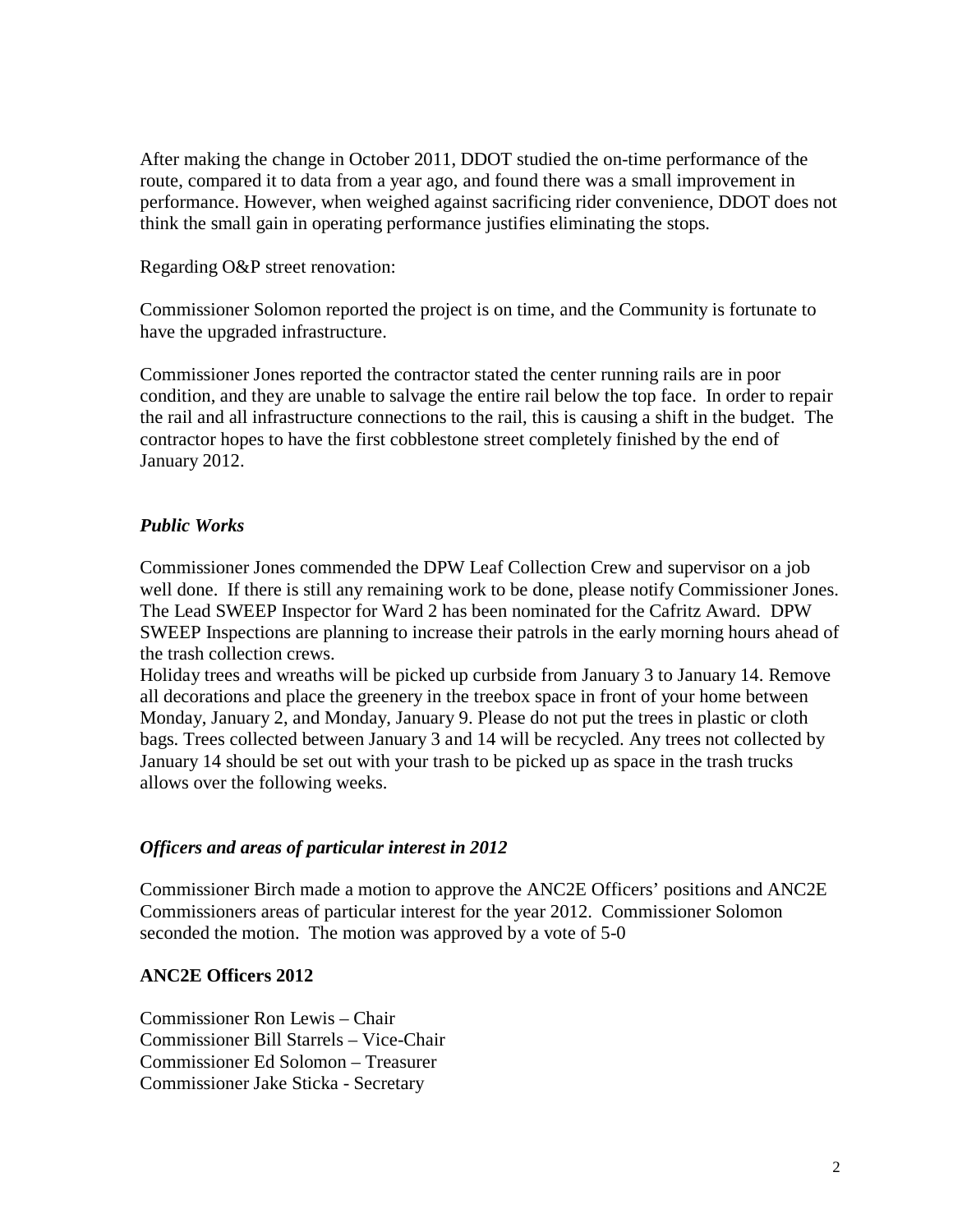After making the change in October 2011, DDOT studied the on-time performance of the route, compared it to data from a year ago, and found there was a small improvement in performance. However, when weighed against sacrificing rider convenience, DDOT does not think the small gain in operating performance justifies eliminating the stops.

#### Regarding O&P street renovation:

Commissioner Solomon reported the project is on time, and the Community is fortunate to have the upgraded infrastructure.

Commissioner Jones reported the contractor stated the center running rails are in poor condition, and they are unable to salvage the entire rail below the top face. In order to repair the rail and all infrastructure connections to the rail, this is causing a shift in the budget. The contractor hopes to have the first cobblestone street completely finished by the end of January 2012.

#### *Public Works*

Commissioner Jones commended the DPW Leaf Collection Crew and supervisor on a job well done. If there is still any remaining work to be done, please notify Commissioner Jones. The Lead SWEEP Inspector for Ward 2 has been nominated for the Cafritz Award. DPW SWEEP Inspections are planning to increase their patrols in the early morning hours ahead of the trash collection crews.

Holiday trees and wreaths will be picked up curbside from January 3 to January 14. Remove all decorations and place the greenery in the treebox space in front of your home between Monday, January 2, and Monday, January 9. Please do not put the trees in plastic or cloth bags. Trees collected between January 3 and 14 will be recycled. Any trees not collected by January 14 should be set out with your trash to be picked up as space in the trash trucks allows over the following weeks.

#### *Officers and areas of particular interest in 2012*

Commissioner Birch made a motion to approve the ANC2E Officers' positions and ANC2E Commissioners areas of particular interest for the year 2012. Commissioner Solomon seconded the motion. The motion was approved by a vote of 5-0

#### **ANC2E Officers 2012**

Commissioner Ron Lewis – Chair Commissioner Bill Starrels – Vice-Chair Commissioner Ed Solomon – Treasurer Commissioner Jake Sticka - Secretary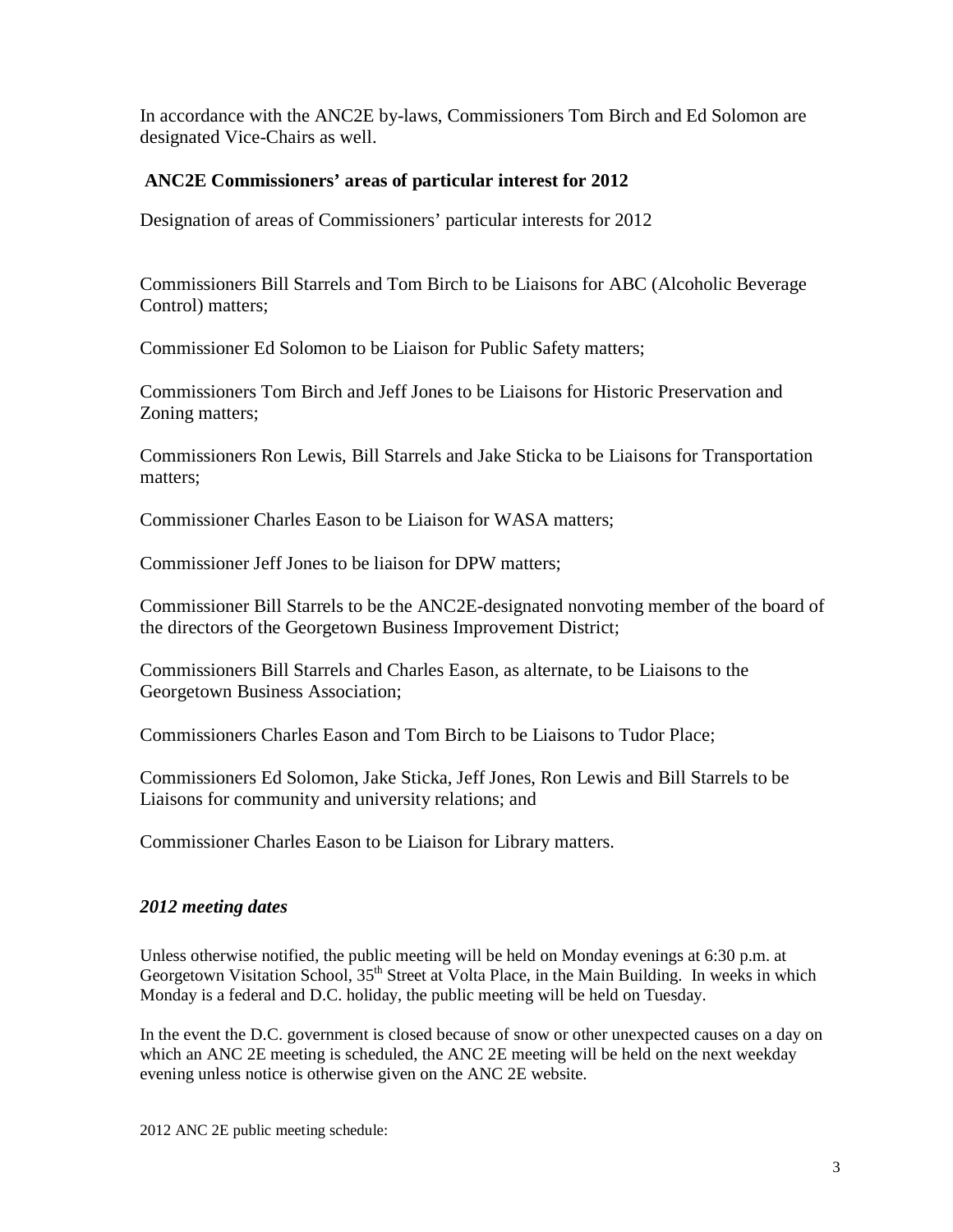In accordance with the ANC2E by-laws, Commissioners Tom Birch and Ed Solomon are designated Vice-Chairs as well.

#### **ANC2E Commissioners' areas of particular interest for 2012**

Designation of areas of Commissioners' particular interests for 2012

Commissioners Bill Starrels and Tom Birch to be Liaisons for ABC (Alcoholic Beverage Control) matters;

Commissioner Ed Solomon to be Liaison for Public Safety matters;

Commissioners Tom Birch and Jeff Jones to be Liaisons for Historic Preservation and Zoning matters;

Commissioners Ron Lewis, Bill Starrels and Jake Sticka to be Liaisons for Transportation matters;

Commissioner Charles Eason to be Liaison for WASA matters;

Commissioner Jeff Jones to be liaison for DPW matters;

Commissioner Bill Starrels to be the ANC2E-designated nonvoting member of the board of the directors of the Georgetown Business Improvement District;

Commissioners Bill Starrels and Charles Eason, as alternate, to be Liaisons to the Georgetown Business Association;

Commissioners Charles Eason and Tom Birch to be Liaisons to Tudor Place;

Commissioners Ed Solomon, Jake Sticka, Jeff Jones, Ron Lewis and Bill Starrels to be Liaisons for community and university relations; and

Commissioner Charles Eason to be Liaison for Library matters.

#### *2012 meeting dates*

Unless otherwise notified, the public meeting will be held on Monday evenings at 6:30 p.m. at Georgetown Visitation School, 35<sup>th</sup> Street at Volta Place, in the Main Building. In weeks in which Monday is a federal and D.C. holiday, the public meeting will be held on Tuesday.

In the event the D.C. government is closed because of snow or other unexpected causes on a day on which an ANC 2E meeting is scheduled, the ANC 2E meeting will be held on the next weekday evening unless notice is otherwise given on the ANC 2E website.

2012 ANC 2E public meeting schedule: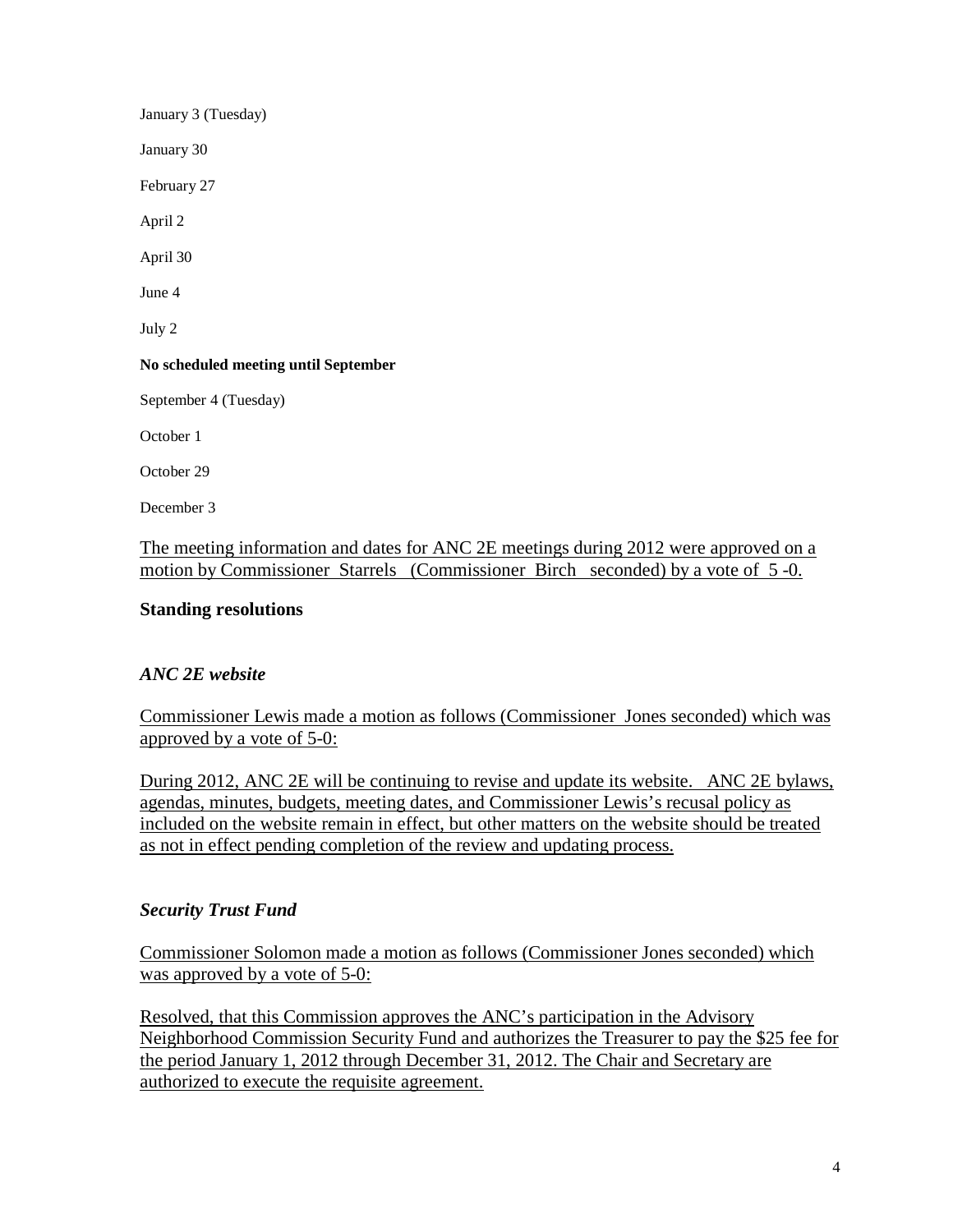January 3 (Tuesday) January 30 February 27 April 2 April 30 June 4 July 2 **No scheduled meeting until September** September 4 (Tuesday) October 1 October 29 December 3

The meeting information and dates for ANC 2E meetings during 2012 were approved on a motion by Commissioner Starrels (Commissioner Birch seconded) by a vote of 5 -0.

#### **Standing resolutions**

## *ANC 2E website*

Commissioner Lewis made a motion as follows (Commissioner Jones seconded) which was approved by a vote of 5-0:

During 2012, ANC 2E will be continuing to revise and update its website. ANC 2E bylaws, agendas, minutes, budgets, meeting dates, and Commissioner Lewis's recusal policy as included on the website remain in effect, but other matters on the website should be treated as not in effect pending completion of the review and updating process.

#### *Security Trust Fund*

Commissioner Solomon made a motion as follows (Commissioner Jones seconded) which was approved by a vote of 5-0:

Resolved, that this Commission approves the ANC's participation in the Advisory Neighborhood Commission Security Fund and authorizes the Treasurer to pay the \$25 fee for the period January 1, 2012 through December 31, 2012. The Chair and Secretary are authorized to execute the requisite agreement.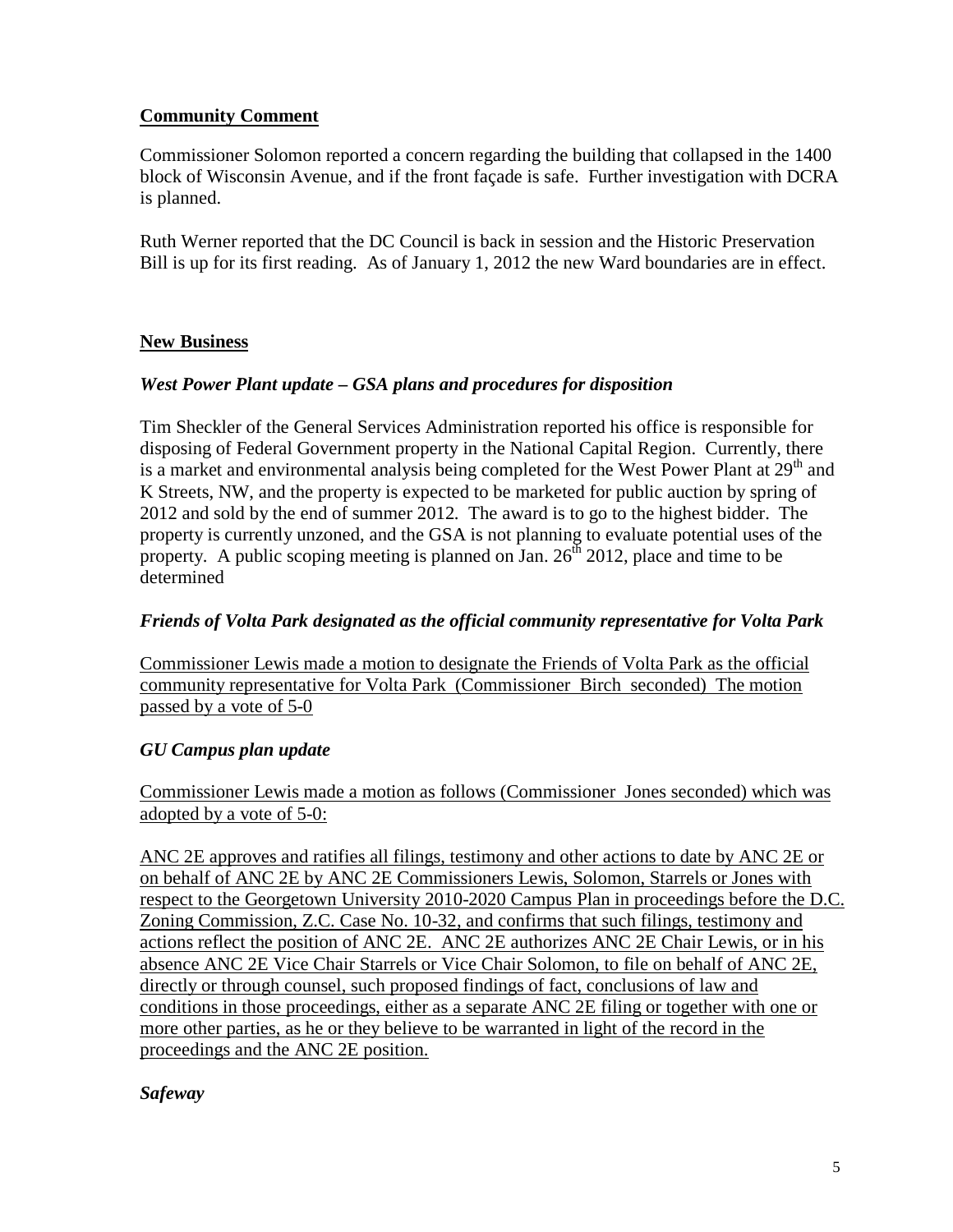## **Community Comment**

Commissioner Solomon reported a concern regarding the building that collapsed in the 1400 block of Wisconsin Avenue, and if the front façade is safe. Further investigation with DCRA is planned.

Ruth Werner reported that the DC Council is back in session and the Historic Preservation Bill is up for its first reading. As of January 1, 2012 the new Ward boundaries are in effect.

## **New Business**

## *West Power Plant update – GSA plans and procedures for disposition*

Tim Sheckler of the General Services Administration reported his office is responsible for disposing of Federal Government property in the National Capital Region. Currently, there is a market and environmental analysis being completed for the West Power Plant at  $29<sup>th</sup>$  and K Streets, NW, and the property is expected to be marketed for public auction by spring of 2012 and sold by the end of summer 2012. The award is to go to the highest bidder. The property is currently unzoned, and the GSA is not planning to evaluate potential uses of the property. A public scoping meeting is planned on Jan.  $26<sup>th</sup>$  2012, place and time to be determined

## *Friends of Volta Park designated as the official community representative for Volta Park*

Commissioner Lewis made a motion to designate the Friends of Volta Park as the official community representative for Volta Park (Commissioner Birch seconded) The motion passed by a vote of 5-0

## *GU Campus plan update*

Commissioner Lewis made a motion as follows (Commissioner Jones seconded) which was adopted by a vote of 5-0:

ANC 2E approves and ratifies all filings, testimony and other actions to date by ANC 2E or on behalf of ANC 2E by ANC 2E Commissioners Lewis, Solomon, Starrels or Jones with respect to the Georgetown University 2010-2020 Campus Plan in proceedings before the D.C. Zoning Commission, Z.C. Case No. 10-32, and confirms that such filings, testimony and actions reflect the position of ANC 2E. ANC 2E authorizes ANC 2E Chair Lewis, or in his absence ANC 2E Vice Chair Starrels or Vice Chair Solomon, to file on behalf of ANC 2E, directly or through counsel, such proposed findings of fact, conclusions of law and conditions in those proceedings, either as a separate ANC 2E filing or together with one or more other parties, as he or they believe to be warranted in light of the record in the proceedings and the ANC 2E position.

## *Safeway*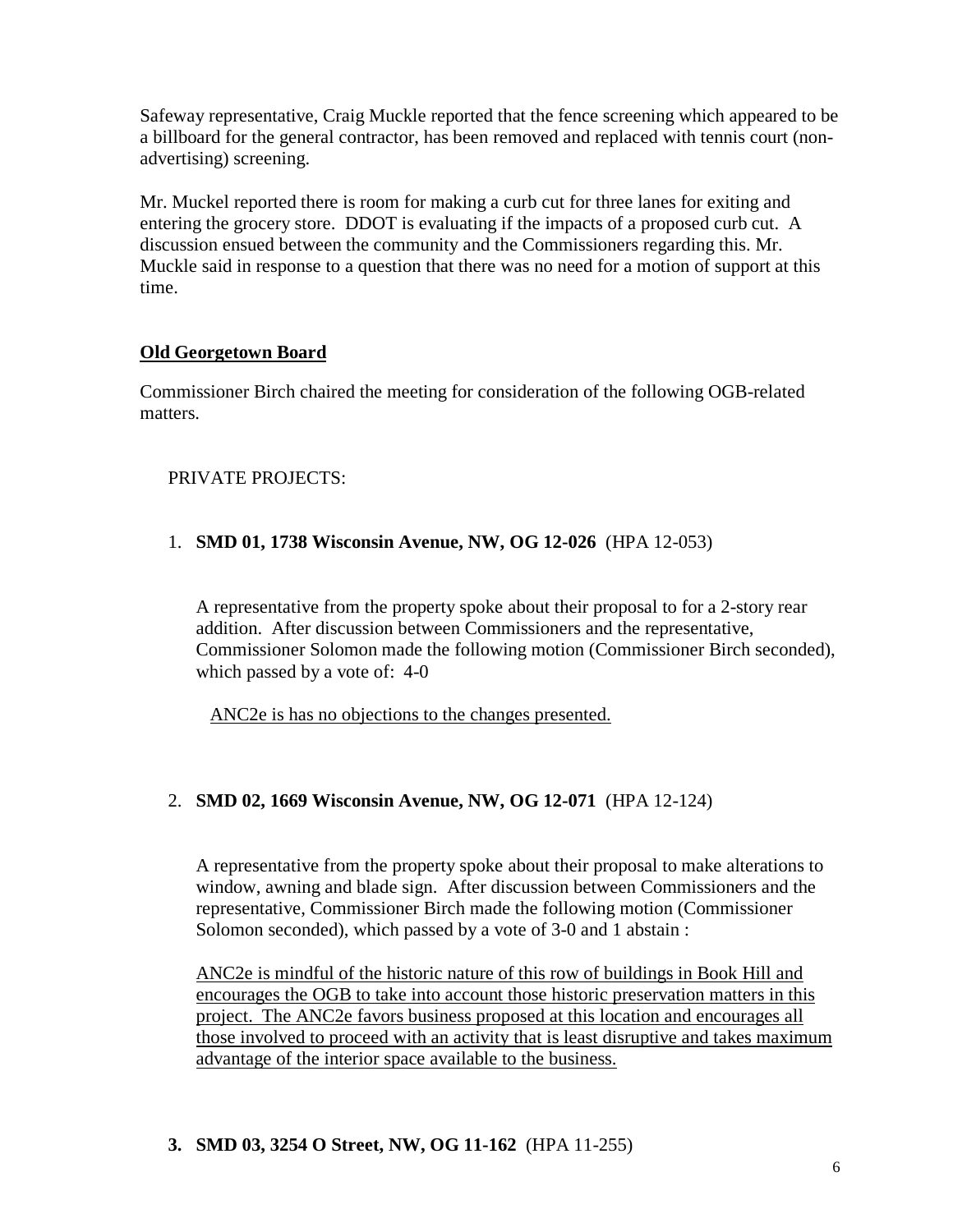Safeway representative, Craig Muckle reported that the fence screening which appeared to be a billboard for the general contractor, has been removed and replaced with tennis court (nonadvertising) screening.

Mr. Muckel reported there is room for making a curb cut for three lanes for exiting and entering the grocery store. DDOT is evaluating if the impacts of a proposed curb cut. A discussion ensued between the community and the Commissioners regarding this. Mr. Muckle said in response to a question that there was no need for a motion of support at this time.

## **Old Georgetown Board**

Commissioner Birch chaired the meeting for consideration of the following OGB-related matters.

# PRIVATE PROJECTS:

## 1. **SMD 01, 1738 Wisconsin Avenue, NW, OG 12-026** (HPA 12-053)

A representative from the property spoke about their proposal to for a 2-story rear addition. After discussion between Commissioners and the representative, Commissioner Solomon made the following motion (Commissioner Birch seconded), which passed by a vote of: 4-0

ANC2e is has no objections to the changes presented.

## 2. **SMD 02, 1669 Wisconsin Avenue, NW, OG 12-071** (HPA 12-124)

A representative from the property spoke about their proposal to make alterations to window, awning and blade sign. After discussion between Commissioners and the representative, Commissioner Birch made the following motion (Commissioner Solomon seconded), which passed by a vote of 3-0 and 1 abstain :

ANC2e is mindful of the historic nature of this row of buildings in Book Hill and encourages the OGB to take into account those historic preservation matters in this project. The ANC2e favors business proposed at this location and encourages all those involved to proceed with an activity that is least disruptive and takes maximum advantage of the interior space available to the business.

## **3. SMD 03, 3254 O Street, NW, OG 11-162** (HPA 11-255)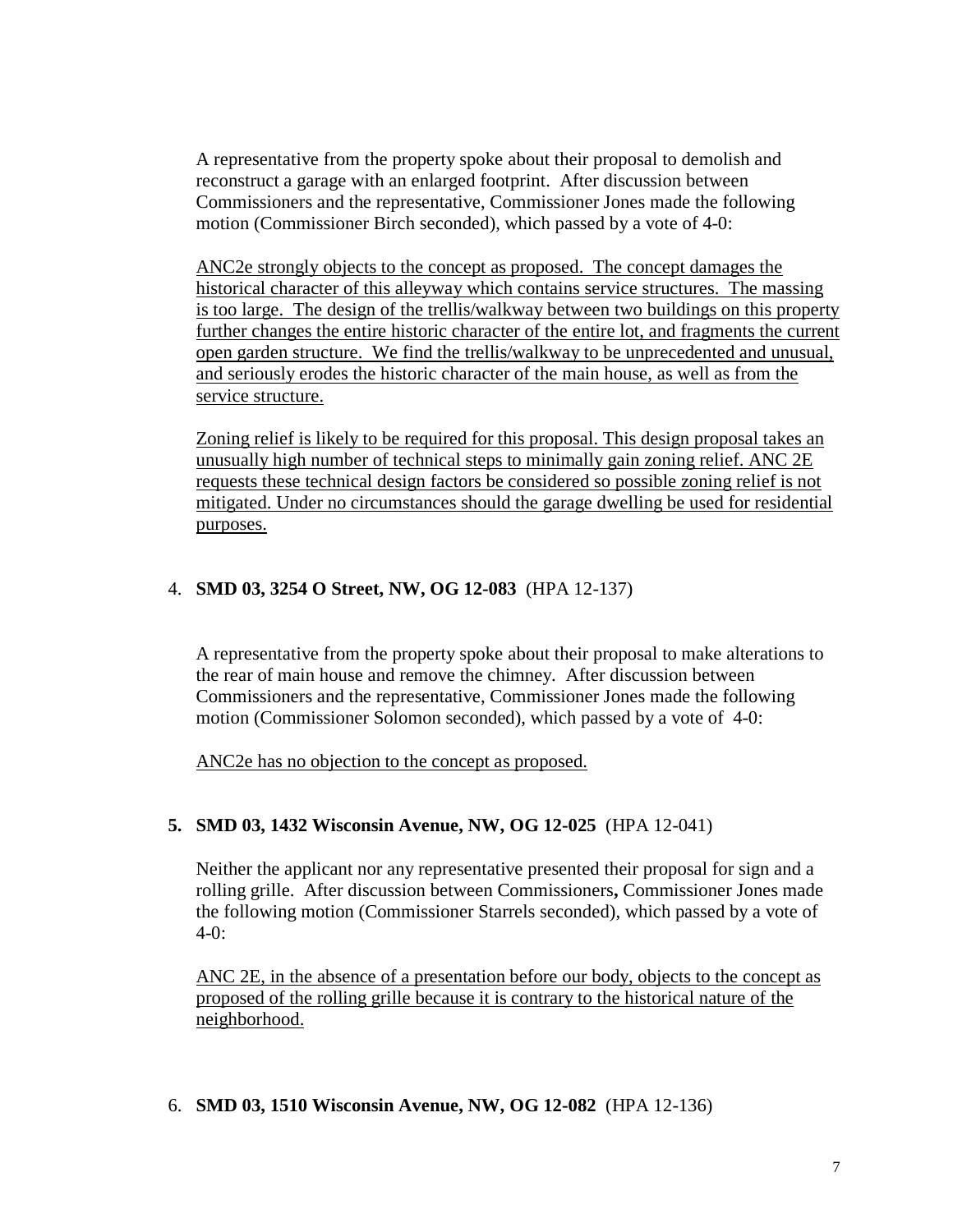A representative from the property spoke about their proposal to demolish and reconstruct a garage with an enlarged footprint. After discussion between Commissioners and the representative, Commissioner Jones made the following motion (Commissioner Birch seconded), which passed by a vote of 4-0:

ANC2e strongly objects to the concept as proposed. The concept damages the historical character of this alleyway which contains service structures. The massing is too large. The design of the trellis/walkway between two buildings on this property further changes the entire historic character of the entire lot, and fragments the current open garden structure. We find the trellis/walkway to be unprecedented and unusual, and seriously erodes the historic character of the main house, as well as from the service structure.

Zoning relief is likely to be required for this proposal. This design proposal takes an unusually high number of technical steps to minimally gain zoning relief. ANC 2E requests these technical design factors be considered so possible zoning relief is not mitigated. Under no circumstances should the garage dwelling be used for residential purposes.

#### 4. **SMD 03, 3254 O Street, NW, OG 12-083** (HPA 12-137)

A representative from the property spoke about their proposal to make alterations to the rear of main house and remove the chimney. After discussion between Commissioners and the representative, Commissioner Jones made the following motion (Commissioner Solomon seconded), which passed by a vote of 4-0:

ANC2e has no objection to the concept as proposed.

## **5. SMD 03, 1432 Wisconsin Avenue, NW, OG 12-025** (HPA 12-041)

Neither the applicant nor any representative presented their proposal for sign and a rolling grille. After discussion between Commissioners**,** Commissioner Jones made the following motion (Commissioner Starrels seconded), which passed by a vote of 4-0:

ANC 2E, in the absence of a presentation before our body, objects to the concept as proposed of the rolling grille because it is contrary to the historical nature of the neighborhood.

#### 6. **SMD 03, 1510 Wisconsin Avenue, NW, OG 12-082** (HPA 12-136)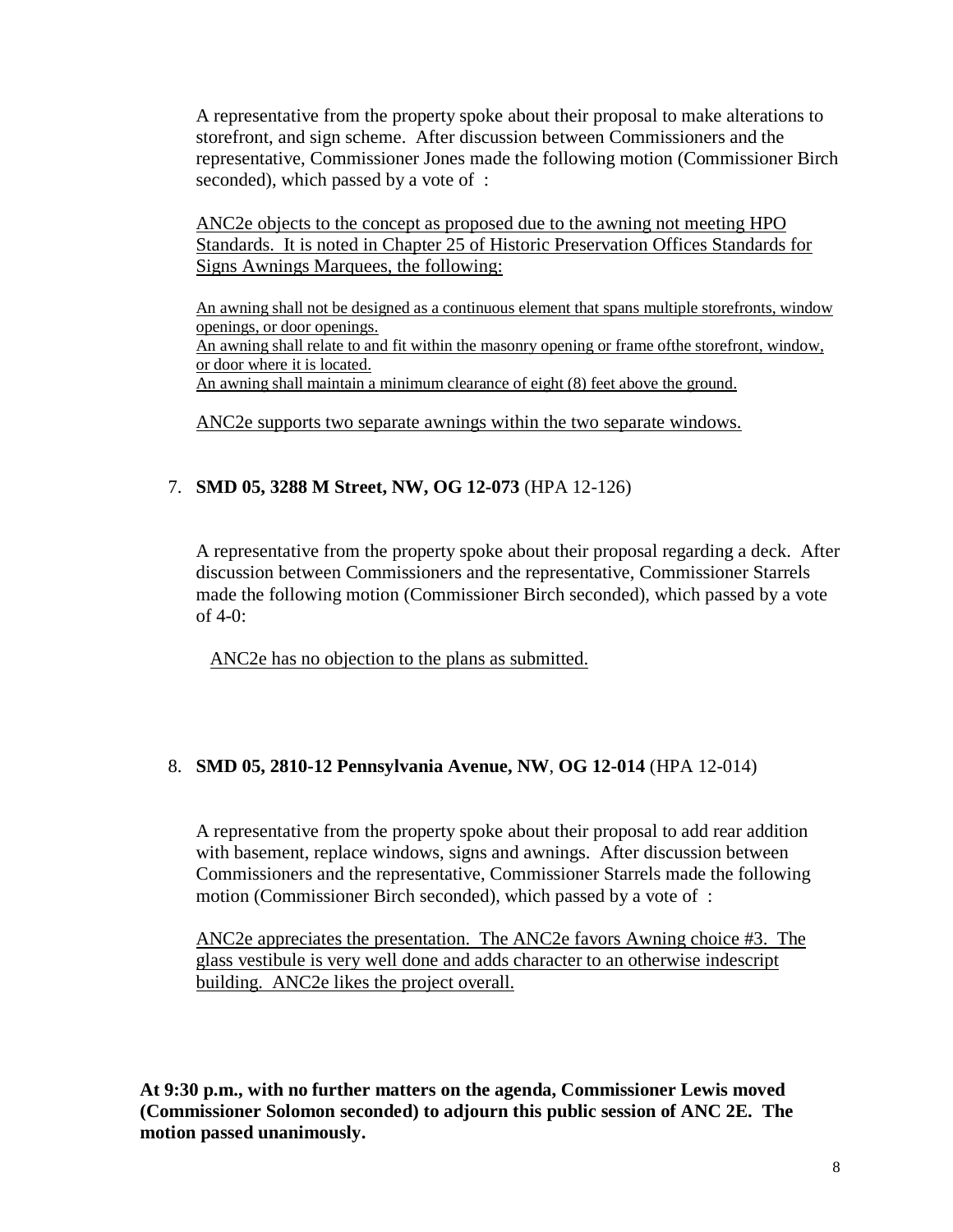A representative from the property spoke about their proposal to make alterations to storefront, and sign scheme. After discussion between Commissioners and the representative, Commissioner Jones made the following motion (Commissioner Birch seconded), which passed by a vote of :

ANC2e objects to the concept as proposed due to the awning not meeting HPO Standards. It is noted in Chapter 25 of Historic Preservation Offices Standards for Signs Awnings Marquees, the following:

 An awning shall not be designed as a continuous element that spans multiple storefronts, window openings, or door openings. An awning shall relate to and fit within the masonry opening or frame of the storefront, window, or door where it is located. An awning shall maintain a minimum clearance of eight (8) feet above the ground.

ANC2e supports two separate awnings within the two separate windows.

## 7. **SMD 05, 3288 M Street, NW, OG 12-073** (HPA 12-126)

A representative from the property spoke about their proposal regarding a deck. After discussion between Commissioners and the representative, Commissioner Starrels made the following motion (Commissioner Birch seconded), which passed by a vote of  $4-0$ :

ANC2e has no objection to the plans as submitted.

#### 8. **SMD 05, 2810-12 Pennsylvania Avenue, NW**, **OG 12-014** (HPA 12-014)

A representative from the property spoke about their proposal to add rear addition with basement, replace windows, signs and awnings. After discussion between Commissioners and the representative, Commissioner Starrels made the following motion (Commissioner Birch seconded), which passed by a vote of :

ANC2e appreciates the presentation. The ANC2e favors Awning choice #3. The glass vestibule is very well done and adds character to an otherwise indescript building. ANC2e likes the project overall.

**At 9:30 p.m., with no further matters on the agenda, Commissioner Lewis moved (Commissioner Solomon seconded) to adjourn this public session of ANC 2E. The motion passed unanimously.**